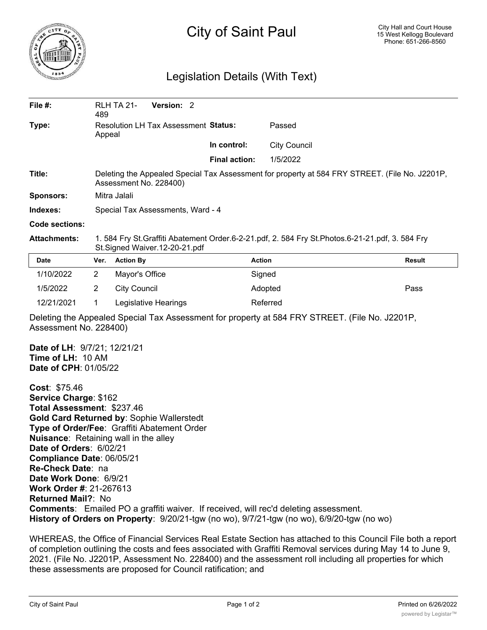

## City of Saint Paul

## Legislation Details (With Text)

| File #:                                                                                                                  | 489                                                                                                                              | <b>RLH TA 21-</b>   | Version: 2                                  |  |                      |                     |               |
|--------------------------------------------------------------------------------------------------------------------------|----------------------------------------------------------------------------------------------------------------------------------|---------------------|---------------------------------------------|--|----------------------|---------------------|---------------|
| Type:                                                                                                                    | Appeal                                                                                                                           |                     | <b>Resolution LH Tax Assessment Status:</b> |  |                      | Passed              |               |
|                                                                                                                          |                                                                                                                                  |                     |                                             |  | In control:          | <b>City Council</b> |               |
|                                                                                                                          |                                                                                                                                  |                     |                                             |  | <b>Final action:</b> | 1/5/2022            |               |
| Title:                                                                                                                   | Deleting the Appealed Special Tax Assessment for property at 584 FRY STREET. (File No. J2201P,<br>Assessment No. 228400)         |                     |                                             |  |                      |                     |               |
| Sponsors:                                                                                                                | Mitra Jalali                                                                                                                     |                     |                                             |  |                      |                     |               |
| Indexes:                                                                                                                 | Special Tax Assessments, Ward - 4                                                                                                |                     |                                             |  |                      |                     |               |
| Code sections:                                                                                                           |                                                                                                                                  |                     |                                             |  |                      |                     |               |
| <b>Attachments:</b>                                                                                                      | 1. 584 Fry St.Graffiti Abatement Order.6-2-21.pdf, 2. 584 Fry St.Photos.6-21-21.pdf, 3. 584 Fry<br>St.Signed Waiver.12-20-21.pdf |                     |                                             |  |                      |                     |               |
| <b>Date</b>                                                                                                              | Ver.                                                                                                                             | <b>Action By</b>    |                                             |  | <b>Action</b>        |                     | <b>Result</b> |
| 1/10/2022                                                                                                                | $\overline{2}$                                                                                                                   | Mayor's Office      |                                             |  | Signed               |                     |               |
| 1/5/2022                                                                                                                 | $\overline{2}$                                                                                                                   | <b>City Council</b> |                                             |  |                      | Adopted             | Pass          |
| 12/21/2021                                                                                                               | 1.                                                                                                                               |                     | Legislative Hearings                        |  |                      | Referred            |               |
| Deleting the Appealed Special Tax Assessment for property at 584 FRY STREET. (File No. J2201P,<br>Assessment No. 228400) |                                                                                                                                  |                     |                                             |  |                      |                     |               |
| Date of LH: 9/7/21; 12/21/21<br>Time of LH: 10 AM<br><b>Date of CPH: 01/05/22</b>                                        |                                                                                                                                  |                     |                                             |  |                      |                     |               |

**Cost**: \$75.46 **Service Charge**: \$162 **Total Assessment**: \$237.46 **Gold Card Returned by**: Sophie Wallerstedt **Type of Order/Fee**: Graffiti Abatement Order **Nuisance**: Retaining wall in the alley **Date of Orders**: 6/02/21 **Compliance Date**: 06/05/21 **Re-Check Date**: na **Date Work Done**: 6/9/21 **Work Order #**: 21-267613 **Returned Mail?**: No **Comments**: Emailed PO a graffiti waiver. If received, will rec'd deleting assessment. **History of Orders on Property**: 9/20/21-tgw (no wo), 9/7/21-tgw (no wo), 6/9/20-tgw (no wo)

WHEREAS, the Office of Financial Services Real Estate Section has attached to this Council File both a report of completion outlining the costs and fees associated with Graffiti Removal services during May 14 to June 9, 2021. (File No. J2201P, Assessment No. 228400) and the assessment roll including all properties for which these assessments are proposed for Council ratification; and